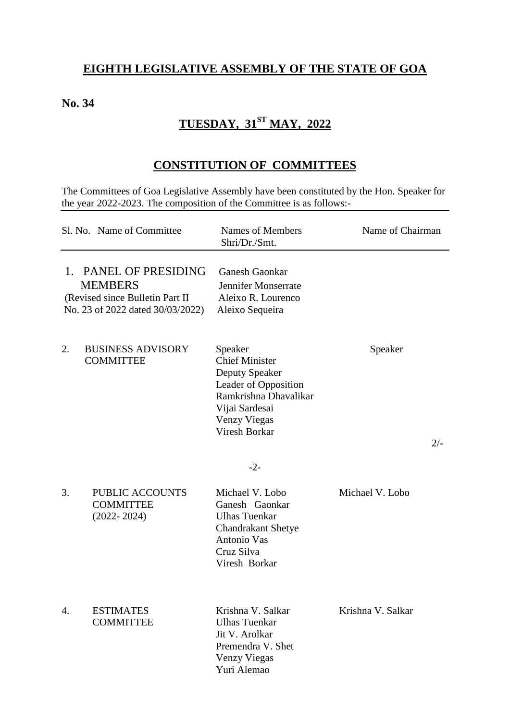#### **EIGHTH LEGISLATIVE ASSEMBLY OF THE STATE OF GOA**

#### **No. 34**

## **TUESDAY, 31ST MAY, 2022**

### **CONSTITUTION OF COMMITTEES**

The Committees of Goa Legislative Assembly have been constituted by the Hon. Speaker for the year 2022-2023. The composition of the Committee is as follows:-

|             | Sl. No. Name of Committee                                                                                   | Names of Members<br>Shri/Dr./Smt.                                                                                                                                             | Name of Chairman  |
|-------------|-------------------------------------------------------------------------------------------------------------|-------------------------------------------------------------------------------------------------------------------------------------------------------------------------------|-------------------|
| $1_{\cdot}$ | PANEL OF PRESIDING<br><b>MEMBERS</b><br>(Revised since Bulletin Part II<br>No. 23 of 2022 dated 30/03/2022) | <b>Ganesh Gaonkar</b><br>Jennifer Monserrate<br>Aleixo R. Lourenco<br>Aleixo Sequeira                                                                                         |                   |
| 2.          | <b>BUSINESS ADVISORY</b><br><b>COMMITTEE</b>                                                                | Speaker<br><b>Chief Minister</b><br>Deputy Speaker<br>Leader of Opposition<br>Ramkrishna Dhavalikar<br>Vijai Sardesai<br><b>Venzy Viegas</b><br><b>Viresh Borkar</b><br>$-2-$ | Speaker<br>$2/-$  |
| 3.          | <b>PUBLIC ACCOUNTS</b><br><b>COMMITTEE</b><br>$(2022 - 2024)$                                               | Michael V. Lobo<br>Ganesh Gaonkar<br><b>Ulhas Tuenkar</b><br><b>Chandrakant Shetye</b><br>Antonio Vas<br>Cruz Silva<br>Viresh Borkar                                          | Michael V. Lobo   |
| 4.          | <b>ESTIMATES</b><br><b>COMMITTEE</b>                                                                        | Krishna V. Salkar<br><b>Ulhas Tuenkar</b><br>Jit V. Arolkar<br>Premendra V. Shet<br>Venzy Viegas<br>Yuri Alemao                                                               | Krishna V. Salkar |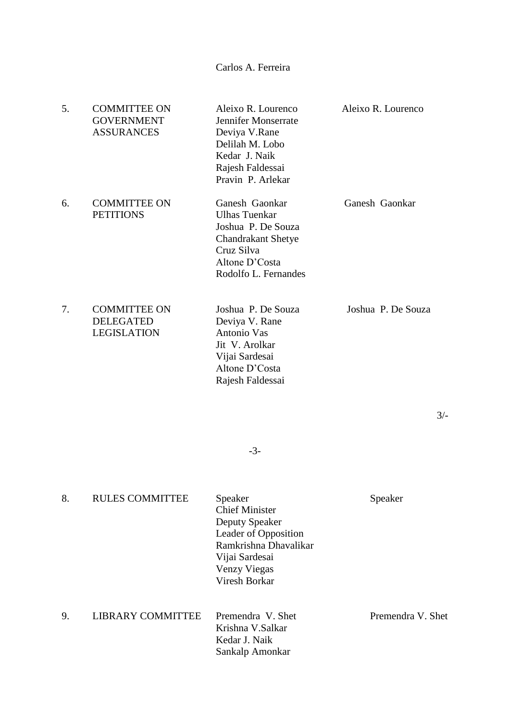Carlos A. Ferreira

| 5. | <b>COMMITTEE ON</b><br><b>GOVERNMENT</b><br><b>ASSURANCES</b> | Aleixo R. Lourenco<br>Jennifer Monserrate<br>Deviya V.Rane<br>Delilah M. Lobo<br>Kedar J. Naik<br>Rajesh Faldessai<br>Pravin P. Arlekar           | Aleixo R. Lourenco |
|----|---------------------------------------------------------------|---------------------------------------------------------------------------------------------------------------------------------------------------|--------------------|
| 6. | <b>COMMITTEE ON</b><br><b>PETITIONS</b>                       | Ganesh Gaonkar<br><b>Ulhas Tuenkar</b><br>Joshua P. De Souza<br><b>Chandrakant Shetye</b><br>Cruz Silva<br>Altone D'Costa<br>Rodolfo L. Fernandes | Ganesh Gaonkar     |
| 7. | <b>COMMITTEE ON</b><br><b>DELEGATED</b><br><b>LEGISLATION</b> | Joshua P. De Souza<br>Deviya V. Rane<br>Antonio Vas<br>Jit V. Arolkar<br>Vijai Sardesai<br>Altone D'Costa<br>Rajesh Faldessai                     | Joshua P. De Souza |

-3-

3/-

| 8. | <b>RULES COMMITTEE</b>   | Speaker<br><b>Chief Minister</b><br>Deputy Speaker<br>Leader of Opposition<br>Ramkrishna Dhavalikar<br>Vijai Sardesai<br>Venzy Viegas<br>Viresh Borkar | Speaker           |
|----|--------------------------|--------------------------------------------------------------------------------------------------------------------------------------------------------|-------------------|
| 9. | <b>LIBRARY COMMITTEE</b> | Premendra V. Shet<br>Krishna V.Salkar<br>Kedar J. Naik<br>Sankalp Amonkar                                                                              | Premendra V. Shet |